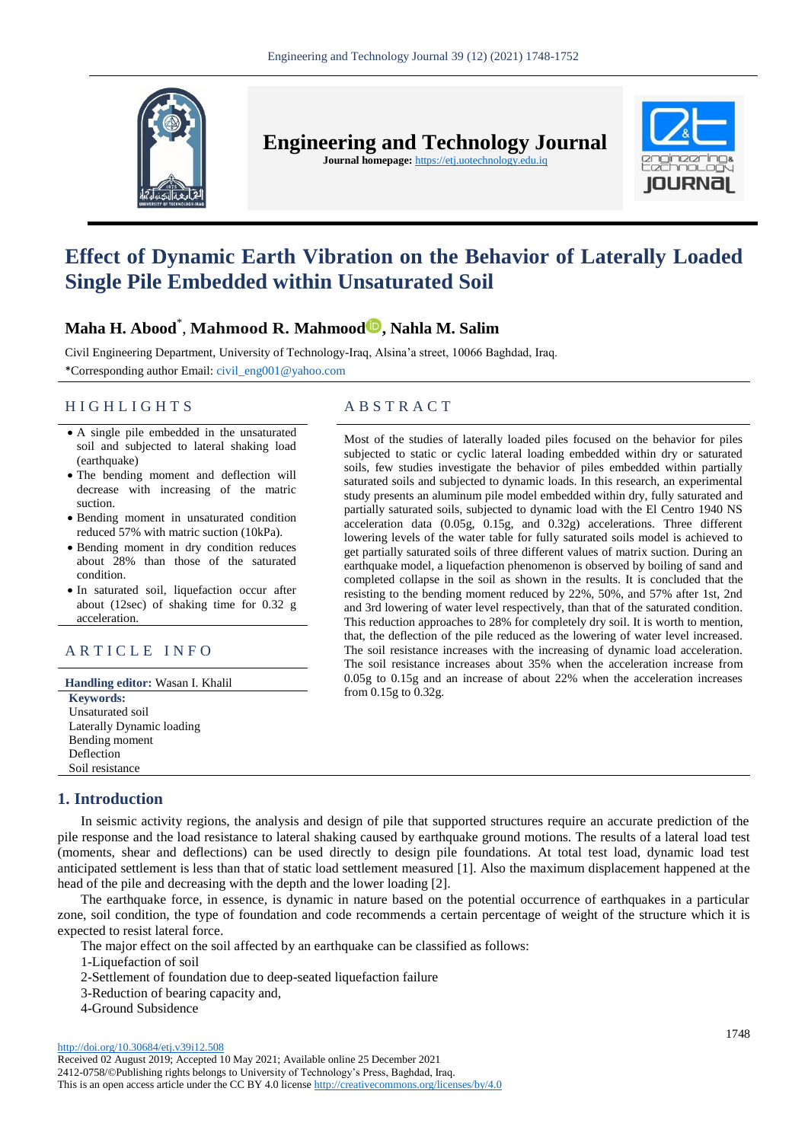

**Engineering and Technology Journal** 

**Journal homepage:** https://etj.uotechnology.edu.iq



# **Effect of Dynamic Earth Vibration on the Behavior of Laterally Loaded Single Pile Embedded within Unsaturated Soil**

# **Maha H. Abood**\* , **Mahmood R. Mahmood , Nahla M. Salim**

Civil Engineering Department, University of Technology-Iraq, Alsina'a street, 10066 Baghdad, Iraq. \*Corresponding author Email: [civil\\_eng001@yahoo.com](file:///C:/Users/dell/Downloads/civil_eng001@yahoo.com)

# H I G H L I G H T S A B S T R A C T

- A single pile embedded in the unsaturated soil and subjected to lateral shaking load (earthquake)
- The bending moment and deflection will decrease with increasing of the matric suction.
- Bending moment in unsaturated condition reduced 57% with matric suction (10kPa).
- Bending moment in dry condition reduces about 28% than those of the saturated condition.
- In saturated soil, liquefaction occur after about (12sec) of shaking time for 0.32 g acceleration.

# ARTICLE INFO

**Handling editor:** Wasan I. Khalil

**Keywords:** Unsaturated soil Laterally Dynamic loading Bending moment Deflection Soil resistance

# **1. Introduction**

Most of the studies of laterally loaded piles focused on the behavior for piles subjected to static or cyclic lateral loading embedded within dry or saturated soils, few studies investigate the behavior of piles embedded within partially saturated soils and subjected to dynamic loads. In this research, an experimental study presents an aluminum pile model embedded within dry, fully saturated and partially saturated soils, subjected to dynamic load with the El Centro 1940 NS acceleration data (0.05g, 0.15g, and 0.32g) accelerations. Three different lowering levels of the water table for fully saturated soils model is achieved to get partially saturated soils of three different values of matrix suction. During an earthquake model, a liquefaction phenomenon is observed by boiling of sand and completed collapse in the soil as shown in the results. It is concluded that the resisting to the bending moment reduced by 22%, 50%, and 57% after 1st, 2nd and 3rd lowering of water level respectively, than that of the saturated condition. This reduction approaches to 28% for completely dry soil. It is worth to mention, that, the deflection of the pile reduced as the lowering of water level increased. The soil resistance increases with the increasing of dynamic load acceleration. The soil resistance increases about 35% when the acceleration increase from 0.05g to 0.15g and an increase of about 22% when the acceleration increases from 0.15g to 0.32g.

In seismic activity regions, the analysis and design of pile that supported structures require an accurate prediction of the pile response and the load resistance to lateral shaking caused by earthquake ground motions. The results of a lateral load test (moments, shear and deflections) can be used directly to design pile foundations. At total test load, dynamic load test anticipated settlement is less than that of static load settlement measured [1]. Also the maximum displacement happened at the head of the pile and decreasing with the depth and the lower loading [2].

The earthquake force, in essence, is dynamic in nature based on the potential occurrence of earthquakes in a particular zone, soil condition, the type of foundation and code recommends a certain percentage of weight of the structure which it is expected to resist lateral force.

The major effect on the soil affected by an earthquake can be classified as follows:

1-Liquefaction of soil

- 2-Settlement of foundation due to deep-seated liquefaction failure
- 3-Reduction of bearing capacity and,
- 4-Ground Subsidence

http://doi.org/10.30684/etj.v39i12.508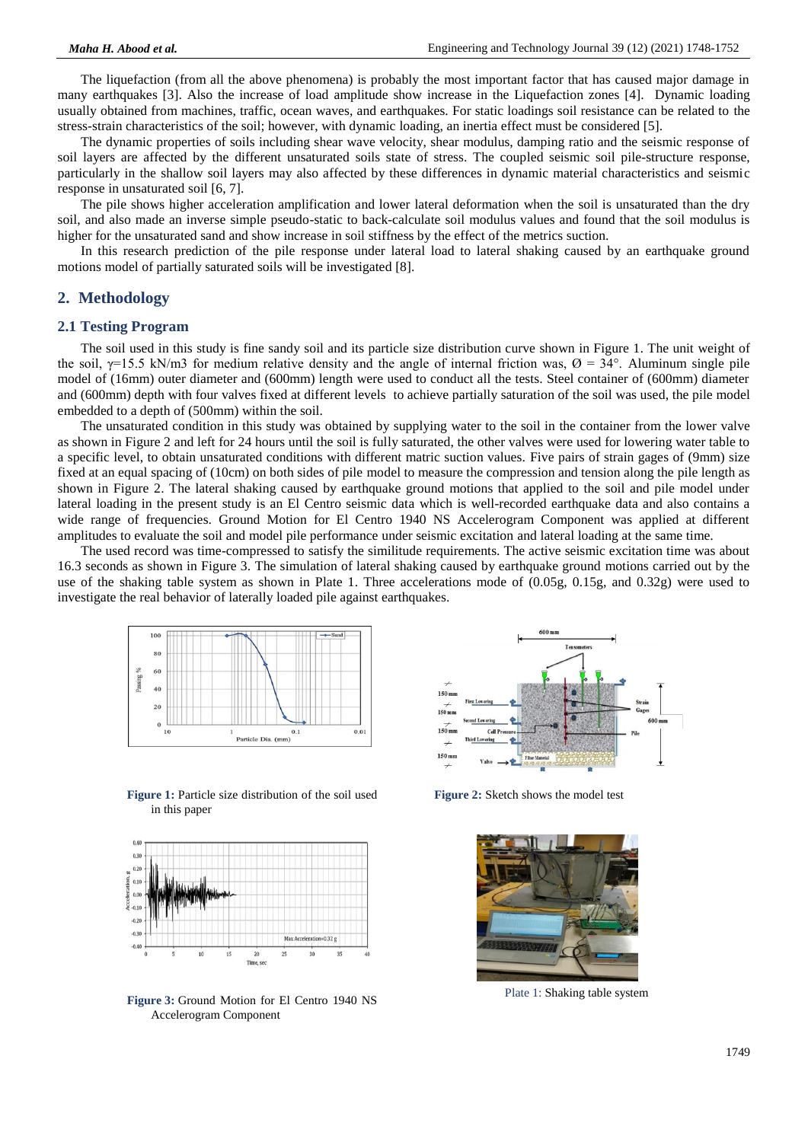The liquefaction (from all the above phenomena) is probably the most important factor that has caused major damage in many earthquakes [3]. Also the increase of load amplitude show increase in the Liquefaction zones [4]. Dynamic loading usually obtained from machines, traffic, ocean waves, and earthquakes. For static loadings soil resistance can be related to the stress-strain characteristics of the soil; however, with dynamic loading, an inertia effect must be considered [5].

The dynamic properties of soils including shear wave velocity, shear modulus, damping ratio and the seismic response of soil layers are affected by the different unsaturated soils state of stress. The coupled seismic soil pile-structure response, particularly in the shallow soil layers may also affected by these differences in dynamic material characteristics and seismic response in unsaturated soil [6, 7].

The pile shows higher acceleration amplification and lower lateral deformation when the soil is unsaturated than the dry soil, and also made an inverse simple pseudo-static to back-calculate soil modulus values and found that the soil modulus is higher for the unsaturated sand and show increase in soil stiffness by the effect of the metrics suction.

In this research prediction of the pile response under lateral load to lateral shaking caused by an earthquake ground motions model of partially saturated soils will be investigated [8].

### **2. Methodology**

#### **2.1 Testing Program**

The soil used in this study is fine sandy soil and its particle size distribution curve shown in Figure 1. The unit weight of the soil,  $\gamma$ =15.5 kN/m3 for medium relative density and the angle of internal friction was,  $\varnothing$  = 34°. Aluminum single pile model of (16mm) outer diameter and (600mm) length were used to conduct all the tests. Steel container of (600mm) diameter and (600mm) depth with four valves fixed at different levels to achieve partially saturation of the soil was used, the pile model embedded to a depth of (500mm) within the soil.

The unsaturated condition in this study was obtained by supplying water to the soil in the container from the lower valve as shown in Figure 2 and left for 24 hours until the soil is fully saturated, the other valves were used for lowering water table to a specific level, to obtain unsaturated conditions with different matric suction values. Five pairs of strain gages of (9mm) size fixed at an equal spacing of (10cm) on both sides of pile model to measure the compression and tension along the pile length as shown in Figure 2. The lateral shaking caused by earthquake ground motions that applied to the soil and pile model under lateral loading in the present study is an El Centro seismic data which is well-recorded earthquake data and also contains a wide range of frequencies. Ground Motion for El Centro 1940 NS Accelerogram Component was applied at different amplitudes to evaluate the soil and model pile performance under seismic excitation and lateral loading at the same time.

The used record was time-compressed to satisfy the similitude requirements. The active seismic excitation time was about 16.3 seconds as shown in Figure 3. The simulation of lateral shaking caused by earthquake ground motions carried out by the use of the shaking table system as shown in Plate 1. Three accelerations mode of (0.05g, 0.15g, and 0.32g) were used to investigate the real behavior of laterally loaded pile against earthquakes.



**Figure 1:** Particle size distribution of the soil used in this paper



**Figure 3:** Ground Motion for El Centro 1940 NS Accelerogram Component



**Figure 2:** Sketch shows the model test



Plate 1: Shaking table system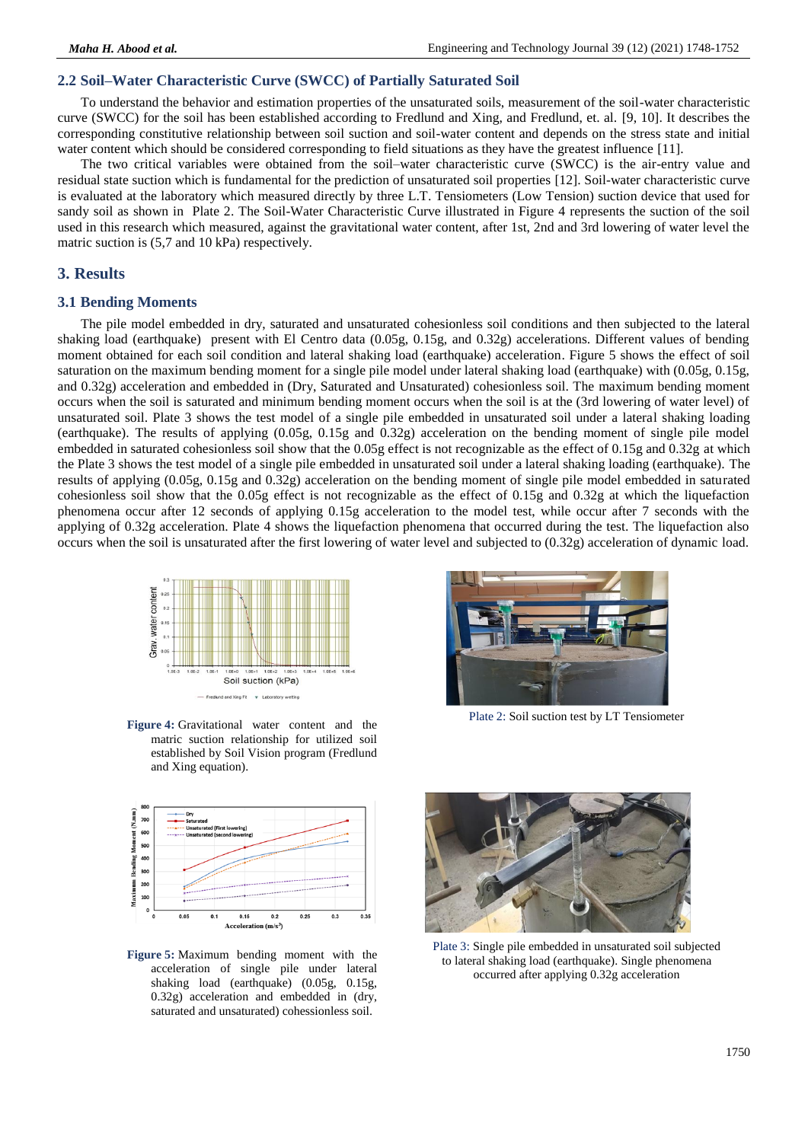#### **2.2 Soil–Water Characteristic Curve (SWCC) of Partially Saturated Soil**

To understand the behavior and estimation properties of the unsaturated soils, measurement of the soil-water characteristic curve (SWCC) for the soil has been established according to Fredlund and Xing, and Fredlund, et. al. [9, 10]. It describes the corresponding constitutive relationship between soil suction and soil-water content and depends on the stress state and initial water content which should be considered corresponding to field situations as they have the greatest influence [11].

The two critical variables were obtained from the soil–water characteristic curve (SWCC) is the air-entry value and residual state suction which is fundamental for the prediction of unsaturated soil properties [12]. Soil-water characteristic curve is evaluated at the laboratory which measured directly by three L.T. Tensiometers (Low Tension) suction device that used for sandy soil as shown in Plate 2. The Soil-Water Characteristic Curve illustrated in Figure 4 represents the suction of the soil used in this research which measured, against the gravitational water content, after 1st, 2nd and 3rd lowering of water level the matric suction is (5,7 and 10 kPa) respectively.

#### **3. Results**

#### **3.1 Bending Moments**

The pile model embedded in dry, saturated and unsaturated cohesionless soil conditions and then subjected to the lateral shaking load (earthquake) present with El Centro data (0.05g, 0.15g, and 0.32g) accelerations. Different values of bending moment obtained for each soil condition and lateral shaking load (earthquake) acceleration. Figure 5 shows the effect of soil saturation on the maximum bending moment for a single pile model under lateral shaking load (earthquake) with (0.05g, 0.15g, and 0.32g) acceleration and embedded in (Dry, Saturated and Unsaturated) cohesionless soil. The maximum bending moment occurs when the soil is saturated and minimum bending moment occurs when the soil is at the (3rd lowering of water level) of unsaturated soil. Plate 3 shows the test model of a single pile embedded in unsaturated soil under a lateral shaking loading (earthquake). The results of applying (0.05g, 0.15g and 0.32g) acceleration on the bending moment of single pile model embedded in saturated cohesionless soil show that the 0.05g effect is not recognizable as the effect of 0.15g and 0.32g at which the Plate 3 shows the test model of a single pile embedded in unsaturated soil under a lateral shaking loading (earthquake). The results of applying (0.05g, 0.15g and 0.32g) acceleration on the bending moment of single pile model embedded in saturated cohesionless soil show that the 0.05g effect is not recognizable as the effect of 0.15g and 0.32g at which the liquefaction phenomena occur after 12 seconds of applying 0.15g acceleration to the model test, while occur after 7 seconds with the applying of 0.32g acceleration. Plate 4 shows the liquefaction phenomena that occurred during the test. The liquefaction also occurs when the soil is unsaturated after the first lowering of water level and subjected to (0.32g) acceleration of dynamic load.



**Figure 4:** Gravitational water content and the matric suction relationship for utilized soil established by Soil Vision program (Fredlund and Xing equation).



**Figure 5:** Maximum bending moment with the acceleration of single pile under lateral shaking load (earthquake) (0.05g, 0.15g, 0.32g) acceleration and embedded in (dry, saturated and unsaturated) cohessionless soil.



Plate 2: Soil suction test by LT Tensiometer



Plate 3: Single pile embedded in unsaturated soil subjected to lateral shaking load (earthquake). Single phenomena occurred after applying 0.32g acceleration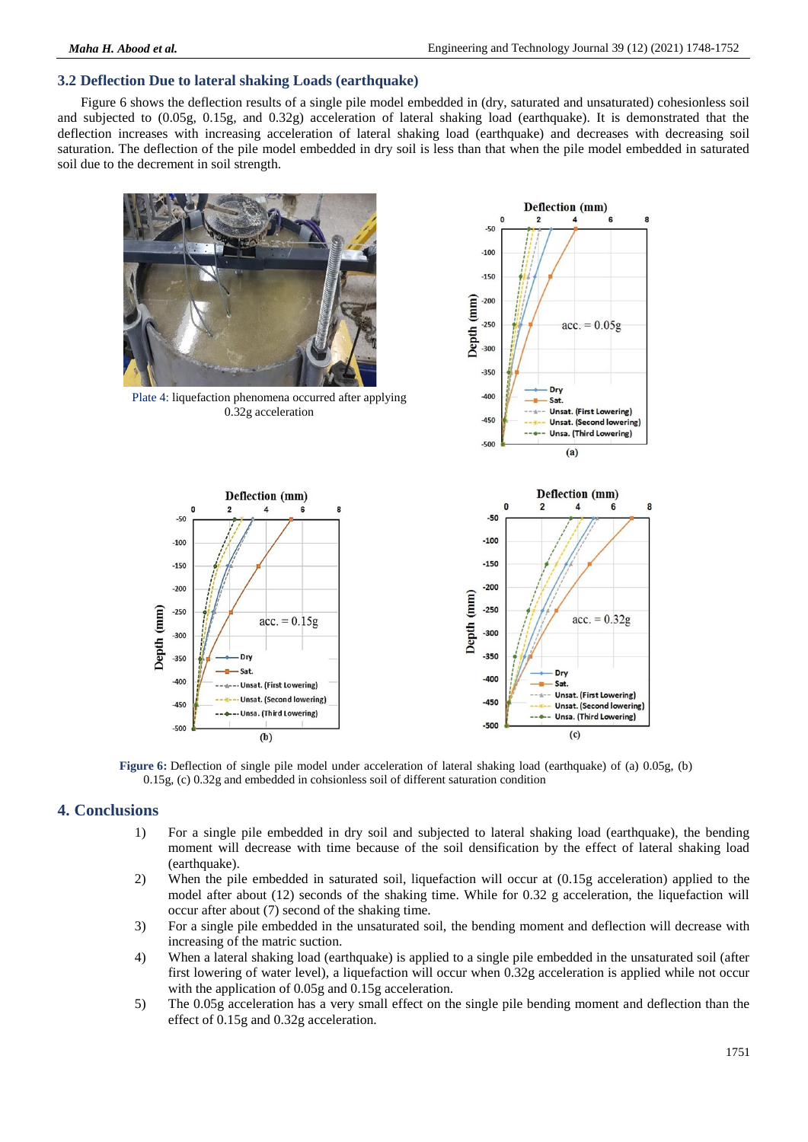# **3.2 Deflection Due to lateral shaking Loads (earthquake)**

Figure 6 shows the deflection results of a single pile model embedded in (dry, saturated and unsaturated) cohesionless soil and subjected to (0.05g, 0.15g, and 0.32g) acceleration of lateral shaking load (earthquake). It is demonstrated that the deflection increases with increasing acceleration of lateral shaking load (earthquake) and decreases with decreasing soil saturation. The deflection of the pile model embedded in dry soil is less than that when the pile model embedded in saturated soil due to the decrement in soil strength.



**Figure 6:** Deflection of single pile model under acceleration of lateral shaking load (earthquake) of (a) 0.05g, (b) 0.15g, (c) 0.32g and embedded in cohsionless soil of different saturation condition

# **4. Conclusions**

- 1) For a single pile embedded in dry soil and subjected to lateral shaking load (earthquake), the bending moment will decrease with time because of the soil densification by the effect of lateral shaking load (earthquake).
- 2) When the pile embedded in saturated soil, liquefaction will occur at (0.15g acceleration) applied to the model after about (12) seconds of the shaking time. While for 0.32 g acceleration, the liquefaction will occur after about (7) second of the shaking time.
- 3) For a single pile embedded in the unsaturated soil, the bending moment and deflection will decrease with increasing of the matric suction.
- 4) When a lateral shaking load (earthquake) is applied to a single pile embedded in the unsaturated soil (after first lowering of water level), a liquefaction will occur when 0.32g acceleration is applied while not occur with the application of 0.05g and 0.15g acceleration.
- 5) The 0.05g acceleration has a very small effect on the single pile bending moment and deflection than the effect of 0.15g and 0.32g acceleration.